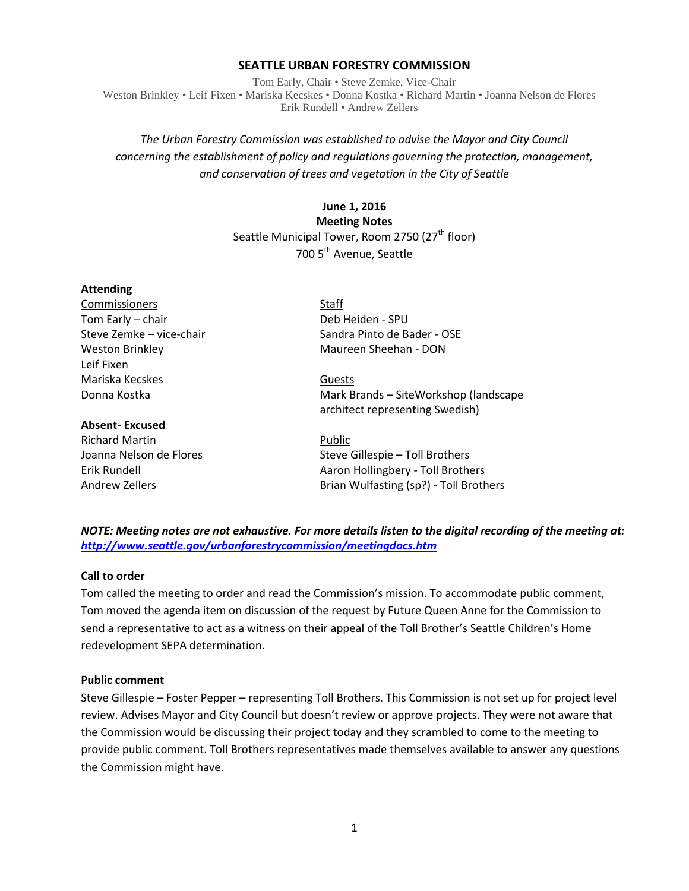### **SEATTLE URBAN FORESTRY COMMISSION**

Tom Early, Chair • Steve Zemke, Vice-Chair Weston Brinkley • Leif Fixen • Mariska Kecskes • Donna Kostka • Richard Martin • Joanna Nelson de Flores Erik Rundell • Andrew Zellers

# *The Urban Forestry Commission was established to advise the Mayor and City Council concerning the establishment of policy and regulations governing the protection, management, and conservation of trees and vegetation in the City of Seattle*

# **June 1, 2016 Meeting Notes** Seattle Municipal Tower, Room 2750 (27<sup>th</sup> floor) 700 5<sup>th</sup> Avenue, Seattle

#### **Attending**

Commissioners Staff Tom Early – chair **Deb Heiden** - SPU Leif Fixen Mariska Kecskes Guests

### **Absent- Excused**

Richard Martin **Public** 

Steve Zemke – vice-chair Sandra Pinto de Bader - OSE Weston Brinkley Maureen Sheehan - DON

Donna Kostka Mark Brands – SiteWorkshop (landscape architect representing Swedish)

Joanna Nelson de Flores Steve Gillespie – Toll Brothers Erik Rundell **Acker Accord Act Accord Aaron Hollingbery - Toll Brothers** Andrew Zellers **Brian Wulfasting (sp?)** - Toll Brothers

*NOTE: Meeting notes are not exhaustive. For more details listen to the digital recording of the meeting at: <http://www.seattle.gov/urbanforestrycommission/meetingdocs.htm>*

### **Call to order**

Tom called the meeting to order and read the Commission's mission. To accommodate public comment, Tom moved the agenda item on discussion of the request by Future Queen Anne for the Commission to send a representative to act as a witness on their appeal of the Toll Brother's Seattle Children's Home redevelopment SEPA determination.

#### **Public comment**

Steve Gillespie – Foster Pepper – representing Toll Brothers. This Commission is not set up for project level review. Advises Mayor and City Council but doesn't review or approve projects. They were not aware that the Commission would be discussing their project today and they scrambled to come to the meeting to provide public comment. Toll Brothers representatives made themselves available to answer any questions the Commission might have.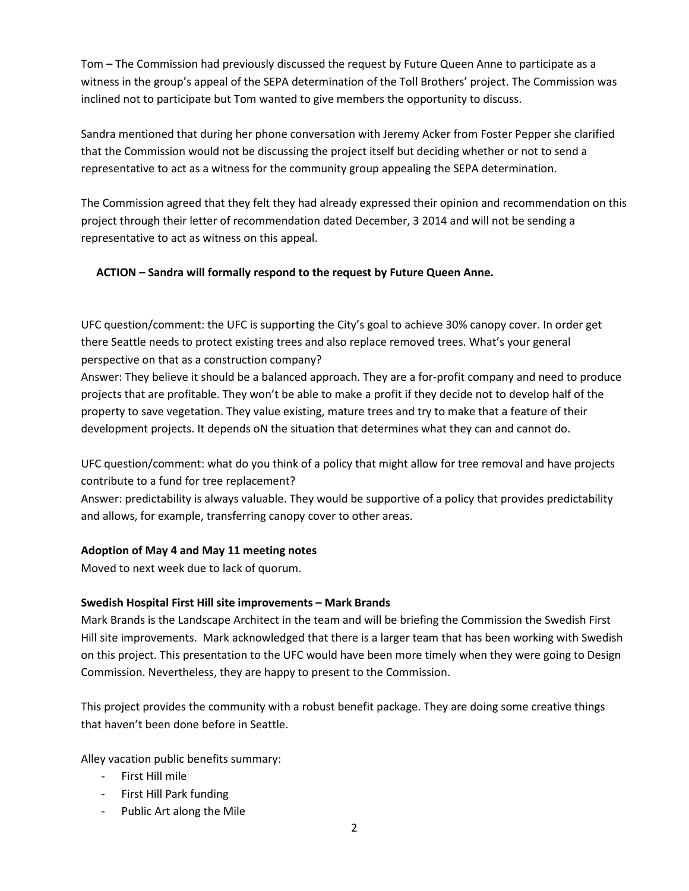Tom – The Commission had previously discussed the request by Future Queen Anne to participate as a witness in the group's appeal of the SEPA determination of the Toll Brothers' project. The Commission was inclined not to participate but Tom wanted to give members the opportunity to discuss.

Sandra mentioned that during her phone conversation with Jeremy Acker from Foster Pepper she clarified that the Commission would not be discussing the project itself but deciding whether or not to send a representative to act as a witness for the community group appealing the SEPA determination.

The Commission agreed that they felt they had already expressed their opinion and recommendation on this project through their letter of recommendation dated December, 3 2014 and will not be sending a representative to act as witness on this appeal.

## **ACTION – Sandra will formally respond to the request by Future Queen Anne.**

UFC question/comment: the UFC is supporting the City's goal to achieve 30% canopy cover. In order get there Seattle needs to protect existing trees and also replace removed trees. What's your general perspective on that as a construction company?

Answer: They believe it should be a balanced approach. They are a for-profit company and need to produce projects that are profitable. They won't be able to make a profit if they decide not to develop half of the property to save vegetation. They value existing, mature trees and try to make that a feature of their development projects. It depends oN the situation that determines what they can and cannot do.

UFC question/comment: what do you think of a policy that might allow for tree removal and have projects contribute to a fund for tree replacement?

Answer: predictability is always valuable. They would be supportive of a policy that provides predictability and allows, for example, transferring canopy cover to other areas.

## **Adoption of May 4 and May 11 meeting notes**

Moved to next week due to lack of quorum.

## **Swedish Hospital First Hill site improvements – Mark Brands**

Mark Brands is the Landscape Architect in the team and will be briefing the Commission the Swedish First Hill site improvements. Mark acknowledged that there is a larger team that has been working with Swedish on this project. This presentation to the UFC would have been more timely when they were going to Design Commission. Nevertheless, they are happy to present to the Commission.

This project provides the community with a robust benefit package. They are doing some creative things that haven't been done before in Seattle.

Alley vacation public benefits summary:

- First Hill mile
- First Hill Park funding
- Public Art along the Mile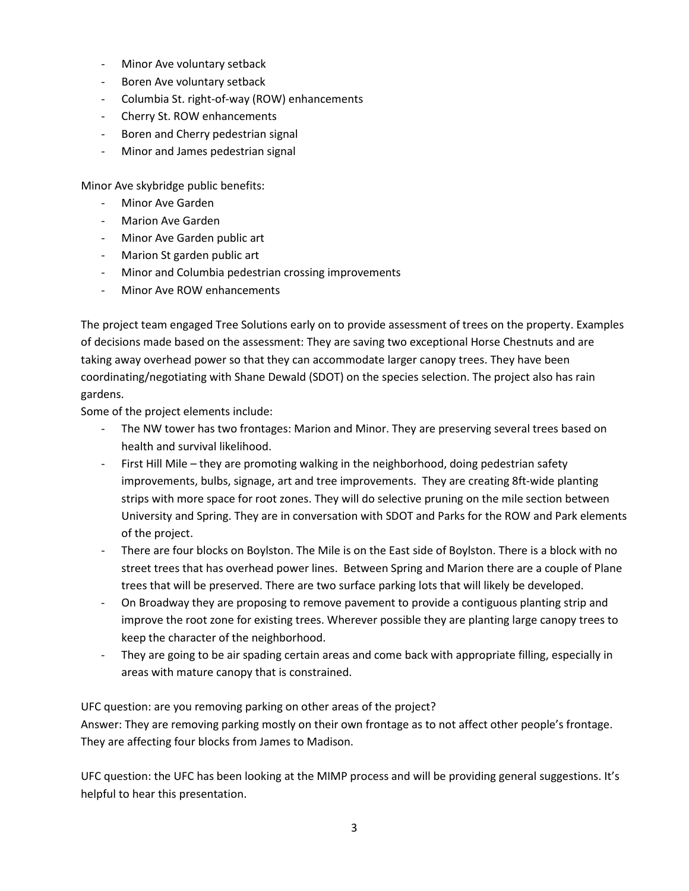- Minor Ave voluntary setback
- Boren Ave voluntary setback
- Columbia St. right-of-way (ROW) enhancements
- Cherry St. ROW enhancements
- Boren and Cherry pedestrian signal
- Minor and James pedestrian signal

Minor Ave skybridge public benefits:

- Minor Ave Garden
- Marion Ave Garden
- Minor Ave Garden public art
- Marion St garden public art
- Minor and Columbia pedestrian crossing improvements
- Minor Ave ROW enhancements

The project team engaged Tree Solutions early on to provide assessment of trees on the property. Examples of decisions made based on the assessment: They are saving two exceptional Horse Chestnuts and are taking away overhead power so that they can accommodate larger canopy trees. They have been coordinating/negotiating with Shane Dewald (SDOT) on the species selection. The project also has rain gardens.

Some of the project elements include:

- The NW tower has two frontages: Marion and Minor. They are preserving several trees based on health and survival likelihood.
- First Hill Mile they are promoting walking in the neighborhood, doing pedestrian safety improvements, bulbs, signage, art and tree improvements. They are creating 8ft-wide planting strips with more space for root zones. They will do selective pruning on the mile section between University and Spring. They are in conversation with SDOT and Parks for the ROW and Park elements of the project.
- There are four blocks on Boylston. The Mile is on the East side of Boylston. There is a block with no street trees that has overhead power lines. Between Spring and Marion there are a couple of Plane trees that will be preserved. There are two surface parking lots that will likely be developed.
- On Broadway they are proposing to remove pavement to provide a contiguous planting strip and improve the root zone for existing trees. Wherever possible they are planting large canopy trees to keep the character of the neighborhood.
- They are going to be air spading certain areas and come back with appropriate filling, especially in areas with mature canopy that is constrained.

UFC question: are you removing parking on other areas of the project? Answer: They are removing parking mostly on their own frontage as to not affect other people's frontage. They are affecting four blocks from James to Madison.

UFC question: the UFC has been looking at the MIMP process and will be providing general suggestions. It's helpful to hear this presentation.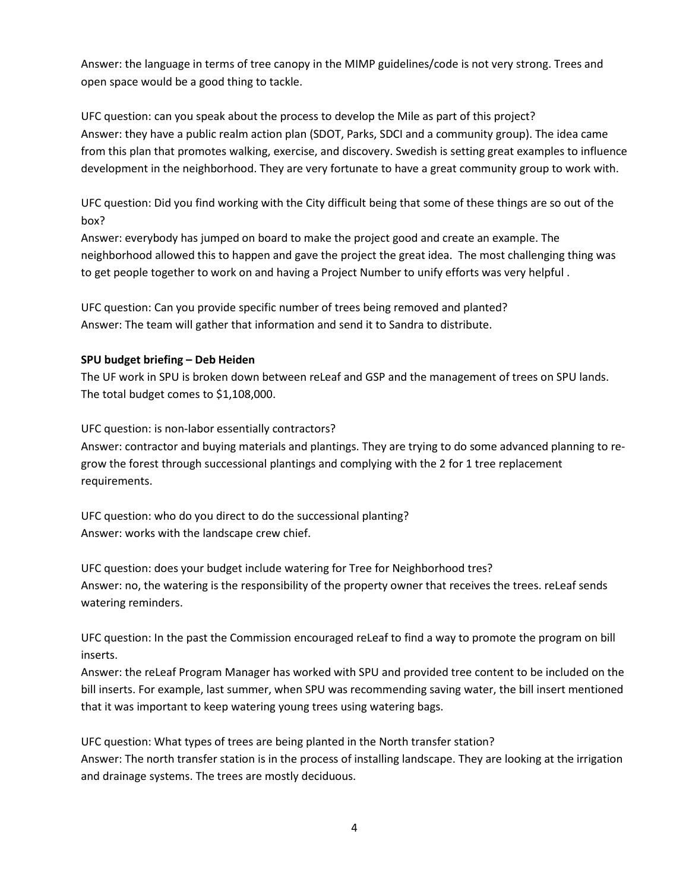Answer: the language in terms of tree canopy in the MIMP guidelines/code is not very strong. Trees and open space would be a good thing to tackle.

UFC question: can you speak about the process to develop the Mile as part of this project? Answer: they have a public realm action plan (SDOT, Parks, SDCI and a community group). The idea came from this plan that promotes walking, exercise, and discovery. Swedish is setting great examples to influence development in the neighborhood. They are very fortunate to have a great community group to work with.

UFC question: Did you find working with the City difficult being that some of these things are so out of the box?

Answer: everybody has jumped on board to make the project good and create an example. The neighborhood allowed this to happen and gave the project the great idea. The most challenging thing was to get people together to work on and having a Project Number to unify efforts was very helpful .

UFC question: Can you provide specific number of trees being removed and planted? Answer: The team will gather that information and send it to Sandra to distribute.

## **SPU budget briefing – Deb Heiden**

The UF work in SPU is broken down between reLeaf and GSP and the management of trees on SPU lands. The total budget comes to \$1,108,000.

UFC question: is non-labor essentially contractors?

Answer: contractor and buying materials and plantings. They are trying to do some advanced planning to regrow the forest through successional plantings and complying with the 2 for 1 tree replacement requirements.

UFC question: who do you direct to do the successional planting? Answer: works with the landscape crew chief.

UFC question: does your budget include watering for Tree for Neighborhood tres? Answer: no, the watering is the responsibility of the property owner that receives the trees. reLeaf sends watering reminders.

UFC question: In the past the Commission encouraged reLeaf to find a way to promote the program on bill inserts.

Answer: the reLeaf Program Manager has worked with SPU and provided tree content to be included on the bill inserts. For example, last summer, when SPU was recommending saving water, the bill insert mentioned that it was important to keep watering young trees using watering bags.

UFC question: What types of trees are being planted in the North transfer station? Answer: The north transfer station is in the process of installing landscape. They are looking at the irrigation and drainage systems. The trees are mostly deciduous.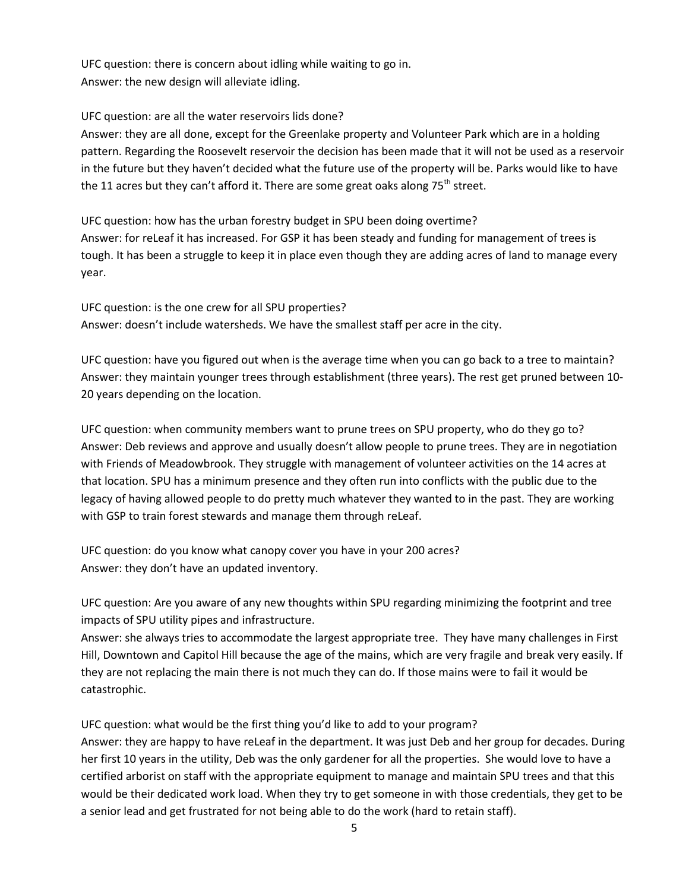UFC question: there is concern about idling while waiting to go in. Answer: the new design will alleviate idling.

UFC question: are all the water reservoirs lids done?

Answer: they are all done, except for the Greenlake property and Volunteer Park which are in a holding pattern. Regarding the Roosevelt reservoir the decision has been made that it will not be used as a reservoir in the future but they haven't decided what the future use of the property will be. Parks would like to have the 11 acres but they can't afford it. There are some great oaks along  $75^{th}$  street.

UFC question: how has the urban forestry budget in SPU been doing overtime? Answer: for reLeaf it has increased. For GSP it has been steady and funding for management of trees is tough. It has been a struggle to keep it in place even though they are adding acres of land to manage every year.

UFC question: is the one crew for all SPU properties? Answer: doesn't include watersheds. We have the smallest staff per acre in the city.

UFC question: have you figured out when is the average time when you can go back to a tree to maintain? Answer: they maintain younger trees through establishment (three years). The rest get pruned between 10- 20 years depending on the location.

UFC question: when community members want to prune trees on SPU property, who do they go to? Answer: Deb reviews and approve and usually doesn't allow people to prune trees. They are in negotiation with Friends of Meadowbrook. They struggle with management of volunteer activities on the 14 acres at that location. SPU has a minimum presence and they often run into conflicts with the public due to the legacy of having allowed people to do pretty much whatever they wanted to in the past. They are working with GSP to train forest stewards and manage them through reLeaf.

UFC question: do you know what canopy cover you have in your 200 acres? Answer: they don't have an updated inventory.

UFC question: Are you aware of any new thoughts within SPU regarding minimizing the footprint and tree impacts of SPU utility pipes and infrastructure.

Answer: she always tries to accommodate the largest appropriate tree. They have many challenges in First Hill, Downtown and Capitol Hill because the age of the mains, which are very fragile and break very easily. If they are not replacing the main there is not much they can do. If those mains were to fail it would be catastrophic.

UFC question: what would be the first thing you'd like to add to your program?

Answer: they are happy to have reLeaf in the department. It was just Deb and her group for decades. During her first 10 years in the utility, Deb was the only gardener for all the properties. She would love to have a certified arborist on staff with the appropriate equipment to manage and maintain SPU trees and that this would be their dedicated work load. When they try to get someone in with those credentials, they get to be a senior lead and get frustrated for not being able to do the work (hard to retain staff).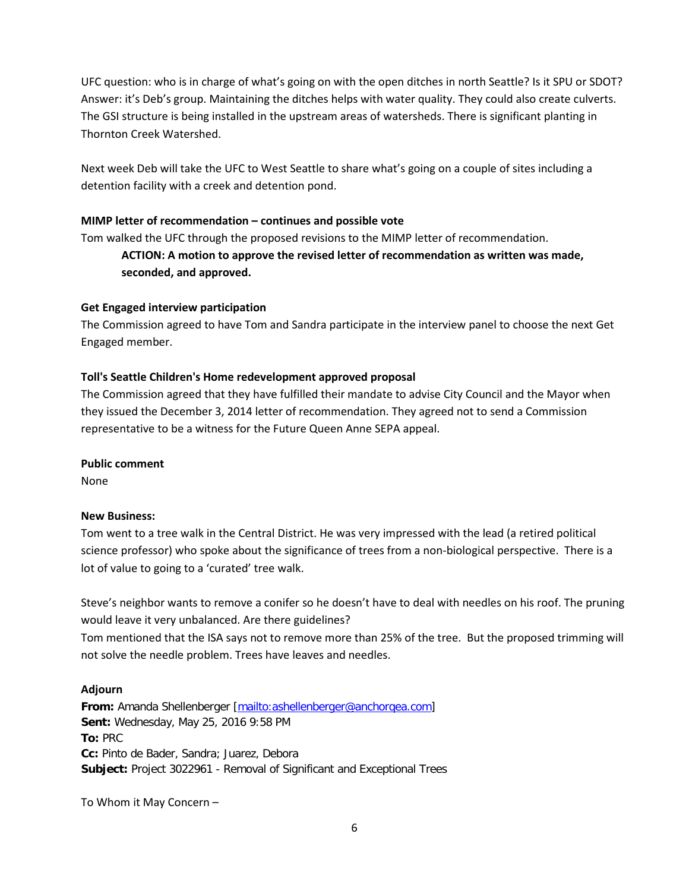UFC question: who is in charge of what's going on with the open ditches in north Seattle? Is it SPU or SDOT? Answer: it's Deb's group. Maintaining the ditches helps with water quality. They could also create culverts. The GSI structure is being installed in the upstream areas of watersheds. There is significant planting in Thornton Creek Watershed.

Next week Deb will take the UFC to West Seattle to share what's going on a couple of sites including a detention facility with a creek and detention pond.

## **MIMP letter of recommendation – continues and possible vote**

Tom walked the UFC through the proposed revisions to the MIMP letter of recommendation. **ACTION: A motion to approve the revised letter of recommendation as written was made, seconded, and approved.**

### **Get Engaged interview participation**

The Commission agreed to have Tom and Sandra participate in the interview panel to choose the next Get Engaged member.

## **Toll's Seattle Children's Home redevelopment approved proposal**

The Commission agreed that they have fulfilled their mandate to advise City Council and the Mayor when they issued the December 3, 2014 letter of recommendation. They agreed not to send a Commission representative to be a witness for the Future Queen Anne SEPA appeal.

### **Public comment**

None

### **New Business:**

Tom went to a tree walk in the Central District. He was very impressed with the lead (a retired political science professor) who spoke about the significance of trees from a non-biological perspective. There is a lot of value to going to a 'curated' tree walk.

Steve's neighbor wants to remove a conifer so he doesn't have to deal with needles on his roof. The pruning would leave it very unbalanced. Are there guidelines?

Tom mentioned that the ISA says not to remove more than 25% of the tree. But the proposed trimming will not solve the needle problem. Trees have leaves and needles.

### **Adjourn**

**From:** Amanda Shellenberger [\[mailto:ashellenberger@anchorqea.com\]](mailto:ashellenberger@anchorqea.com) **Sent:** Wednesday, May 25, 2016 9:58 PM **To:** PRC **Cc:** Pinto de Bader, Sandra; Juarez, Debora **Subject:** Project 3022961 - Removal of Significant and Exceptional Trees

To Whom it May Concern –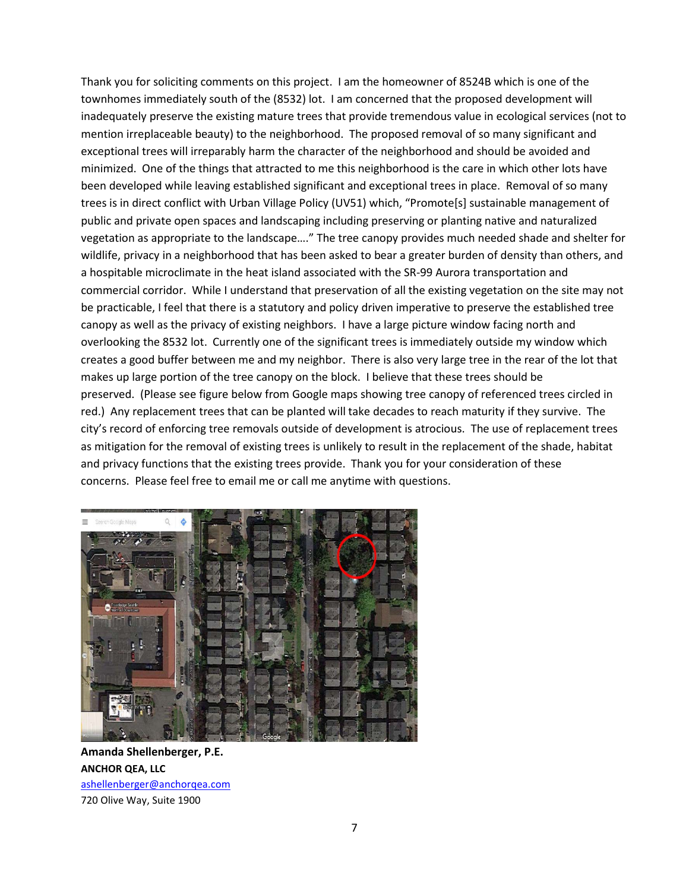Thank you for soliciting comments on this project. I am the homeowner of 8524B which is one of the townhomes immediately south of the (8532) lot. I am concerned that the proposed development will inadequately preserve the existing mature trees that provide tremendous value in ecological services (not to mention irreplaceable beauty) to the neighborhood. The proposed removal of so many significant and exceptional trees will irreparably harm the character of the neighborhood and should be avoided and minimized. One of the things that attracted to me this neighborhood is the care in which other lots have been developed while leaving established significant and exceptional trees in place. Removal of so many trees is in direct conflict with Urban Village Policy (UV51) which, "Promote[s] sustainable management of public and private open spaces and landscaping including preserving or planting native and naturalized vegetation as appropriate to the landscape…." The tree canopy provides much needed shade and shelter for wildlife, privacy in a neighborhood that has been asked to bear a greater burden of density than others, and a hospitable microclimate in the heat island associated with the SR-99 Aurora transportation and commercial corridor. While I understand that preservation of all the existing vegetation on the site may not be practicable, I feel that there is a statutory and policy driven imperative to preserve the established tree canopy as well as the privacy of existing neighbors. I have a large picture window facing north and overlooking the 8532 lot. Currently one of the significant trees is immediately outside my window which creates a good buffer between me and my neighbor. There is also very large tree in the rear of the lot that makes up large portion of the tree canopy on the block. I believe that these trees should be preserved. (Please see figure below from Google maps showing tree canopy of referenced trees circled in red.) Any replacement trees that can be planted will take decades to reach maturity if they survive. The city's record of enforcing tree removals outside of development is atrocious. The use of replacement trees as mitigation for the removal of existing trees is unlikely to result in the replacement of the shade, habitat and privacy functions that the existing trees provide. Thank you for your consideration of these concerns. Please feel free to email me or call me anytime with questions.



**Amanda Shellenberger, P.E. ANCHOR QEA, LLC** [ashellenberger@anchorqea.com](mailto:ashellenberger@anchorqea.com) 720 Olive Way, Suite 1900